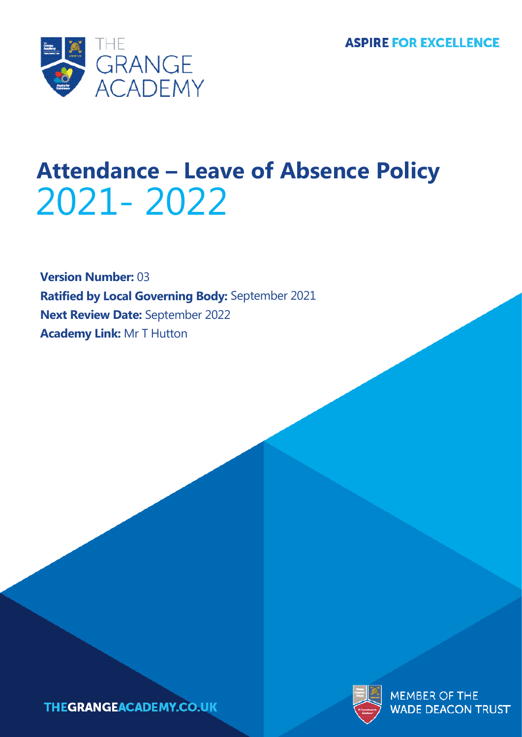

# **Attendance – Leave of Absence Policy** 2021- 2022

**Version Number:** 03 **Ratified by Local Governing Body:** September 2021 **Next Review Date:** September 2022 **Academy Link:** Mr T Hutton





**MEMBER OF THE WADE DEACON TRUST**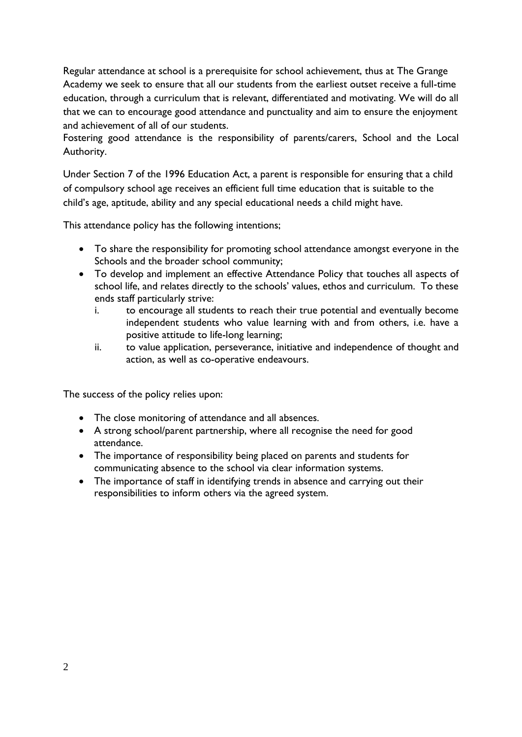Regular attendance at school is a prerequisite for school achievement, thus at The Grange Academy we seek to ensure that all our students from the earliest outset receive a full-time education, through a curriculum that is relevant, differentiated and motivating. We will do all that we can to encourage good attendance and punctuality and aim to ensure the enjoyment and achievement of all of our students.

Fostering good attendance is the responsibility of parents/carers, School and the Local Authority.

Under Section 7 of the 1996 Education Act, a parent is responsible for ensuring that a child of compulsory school age receives an efficient full time education that is suitable to the child's age, aptitude, ability and any special educational needs a child might have.

This attendance policy has the following intentions;

- To share the responsibility for promoting school attendance amongst everyone in the Schools and the broader school community;
- To develop and implement an effective Attendance Policy that touches all aspects of school life, and relates directly to the schools' values, ethos and curriculum. To these ends staff particularly strive:
	- i. to encourage all students to reach their true potential and eventually become independent students who value learning with and from others, i.e. have a positive attitude to life-long learning;
	- ii. to value application, perseverance, initiative and independence of thought and action, as well as co-operative endeavours.

The success of the policy relies upon:

- The close monitoring of attendance and all absences.
- A strong school/parent partnership, where all recognise the need for good attendance.
- The importance of responsibility being placed on parents and students for communicating absence to the school via clear information systems.
- The importance of staff in identifying trends in absence and carrying out their responsibilities to inform others via the agreed system.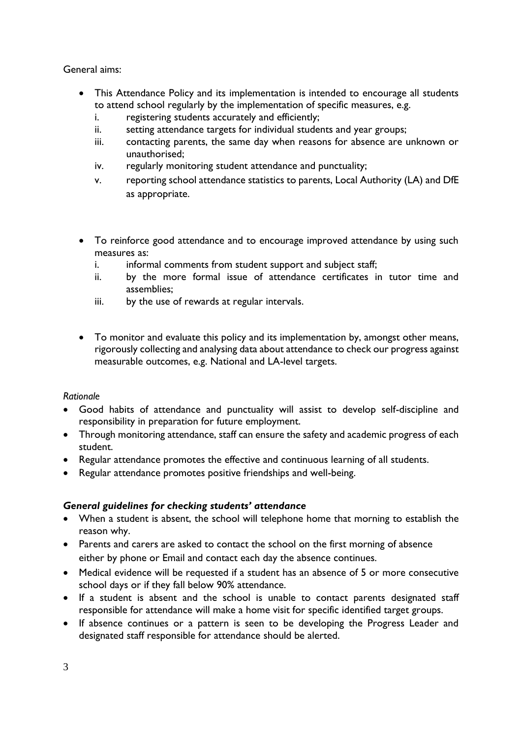General aims:

- This Attendance Policy and its implementation is intended to encourage all students to attend school regularly by the implementation of specific measures, e.g.
	- i. registering students accurately and efficiently;
	- ii. setting attendance targets for individual students and year groups;
	- iii. contacting parents, the same day when reasons for absence are unknown or unauthorised;
	- iv. regularly monitoring student attendance and punctuality;
	- v. reporting school attendance statistics to parents, Local Authority (LA) and DfE as appropriate.
- To reinforce good attendance and to encourage improved attendance by using such measures as:
	- i. informal comments from student support and subject staff;
	- ii. by the more formal issue of attendance certificates in tutor time and assemblies;
	- iii. by the use of rewards at regular intervals.
- To monitor and evaluate this policy and its implementation by, amongst other means, rigorously collecting and analysing data about attendance to check our progress against measurable outcomes, e.g. National and LA-level targets.

#### *Rationale*

- Good habits of attendance and punctuality will assist to develop self-discipline and responsibility in preparation for future employment.
- Through monitoring attendance, staff can ensure the safety and academic progress of each student.
- Regular attendance promotes the effective and continuous learning of all students.
- Regular attendance promotes positive friendships and well-being.

# *General guidelines for checking students' attendance*

- When a student is absent, the school will telephone home that morning to establish the reason why.
- Parents and carers are asked to contact the school on the first morning of absence either by phone or Email and contact each day the absence continues.
- Medical evidence will be requested if a student has an absence of 5 or more consecutive school days or if they fall below 90% attendance.
- If a student is absent and the school is unable to contact parents designated staff responsible for attendance will make a home visit for specific identified target groups.
- If absence continues or a pattern is seen to be developing the Progress Leader and designated staff responsible for attendance should be alerted.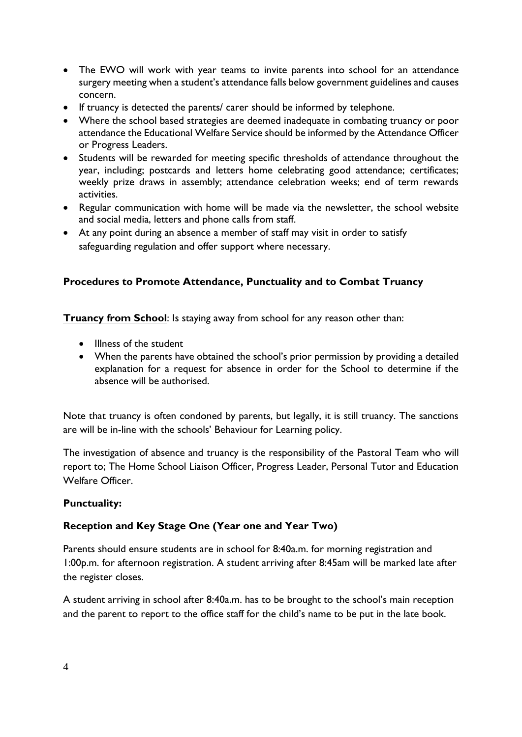- The EWO will work with year teams to invite parents into school for an attendance surgery meeting when a student's attendance falls below government guidelines and causes concern.
- If truancy is detected the parents/ carer should be informed by telephone.
- Where the school based strategies are deemed inadequate in combating truancy or poor attendance the Educational Welfare Service should be informed by the Attendance Officer or Progress Leaders.
- Students will be rewarded for meeting specific thresholds of attendance throughout the year, including; postcards and letters home celebrating good attendance; certificates; weekly prize draws in assembly; attendance celebration weeks; end of term rewards activities.
- Regular communication with home will be made via the newsletter, the school website and social media, letters and phone calls from staff.
- At any point during an absence a member of staff may visit in order to satisfy safeguarding regulation and offer support where necessary.

# **Procedures to Promote Attendance, Punctuality and to Combat Truancy**

**Truancy from School**: Is staying away from school for any reason other than:

- Illness of the student
- When the parents have obtained the school's prior permission by providing a detailed explanation for a request for absence in order for the School to determine if the absence will be authorised.

Note that truancy is often condoned by parents, but legally, it is still truancy. The sanctions are will be in-line with the schools' Behaviour for Learning policy.

The investigation of absence and truancy is the responsibility of the Pastoral Team who will report to; The Home School Liaison Officer, Progress Leader, Personal Tutor and Education Welfare Officer.

#### **Punctuality:**

# **Reception and Key Stage One (Year one and Year Two)**

Parents should ensure students are in school for 8:40a.m. for morning registration and 1:00p.m. for afternoon registration. A student arriving after 8:45am will be marked late after the register closes.

A student arriving in school after 8:40a.m. has to be brought to the school's main reception and the parent to report to the office staff for the child's name to be put in the late book.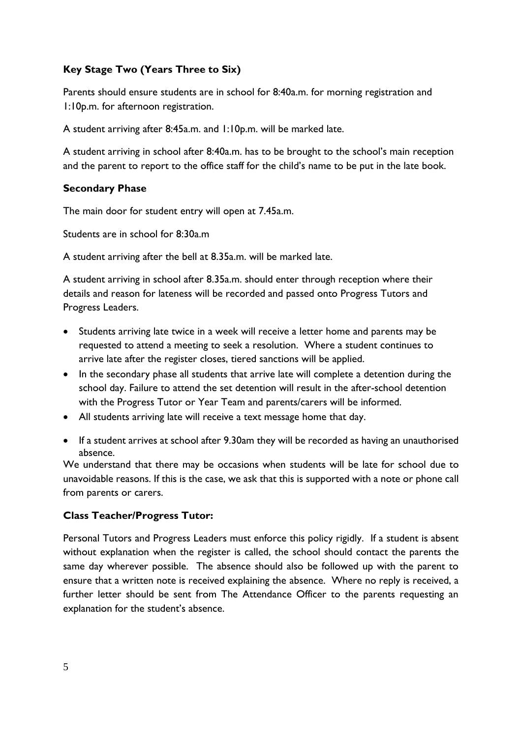# **Key Stage Two (Years Three to Six)**

Parents should ensure students are in school for 8:40a.m. for morning registration and 1:10p.m. for afternoon registration.

A student arriving after 8:45a.m. and 1:10p.m. will be marked late.

A student arriving in school after 8:40a.m. has to be brought to the school's main reception and the parent to report to the office staff for the child's name to be put in the late book.

#### **Secondary Phase**

The main door for student entry will open at 7.45a.m.

Students are in school for 8:30a.m

A student arriving after the bell at 8.35a.m. will be marked late.

A student arriving in school after 8.35a.m. should enter through reception where their details and reason for lateness will be recorded and passed onto Progress Tutors and Progress Leaders.

- Students arriving late twice in a week will receive a letter home and parents may be requested to attend a meeting to seek a resolution. Where a student continues to arrive late after the register closes, tiered sanctions will be applied.
- In the secondary phase all students that arrive late will complete a detention during the school day. Failure to attend the set detention will result in the after-school detention with the Progress Tutor or Year Team and parents/carers will be informed.
- All students arriving late will receive a text message home that day.
- If a student arrives at school after 9.30am they will be recorded as having an unauthorised absence.

We understand that there may be occasions when students will be late for school due to unavoidable reasons. If this is the case, we ask that this is supported with a note or phone call from parents or carers.

#### **Class Teacher/Progress Tutor:**

Personal Tutors and Progress Leaders must enforce this policy rigidly. If a student is absent without explanation when the register is called, the school should contact the parents the same day wherever possible. The absence should also be followed up with the parent to ensure that a written note is received explaining the absence. Where no reply is received, a further letter should be sent from The Attendance Officer to the parents requesting an explanation for the student's absence.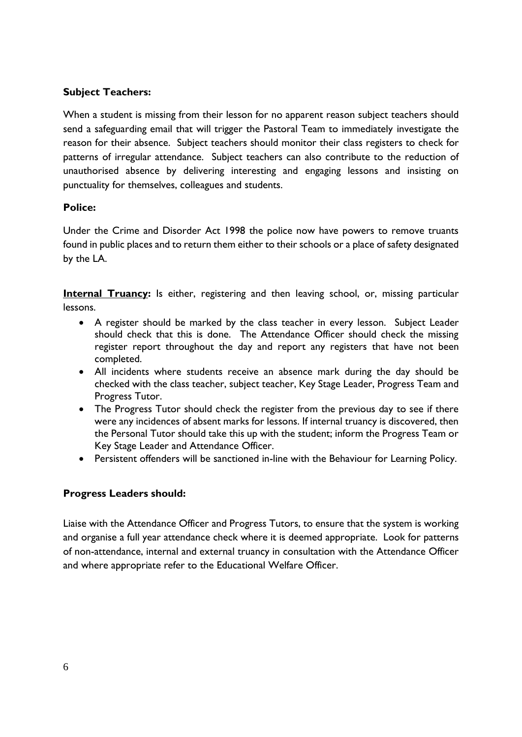# **Subject Teachers:**

When a student is missing from their lesson for no apparent reason subject teachers should send a safeguarding email that will trigger the Pastoral Team to immediately investigate the reason for their absence. Subject teachers should monitor their class registers to check for patterns of irregular attendance. Subject teachers can also contribute to the reduction of unauthorised absence by delivering interesting and engaging lessons and insisting on punctuality for themselves, colleagues and students.

#### **Police:**

Under the Crime and Disorder Act 1998 the police now have powers to remove truants found in public places and to return them either to their schools or a place of safety designated by the LA.

**Internal Truancy:** Is either, registering and then leaving school, or, missing particular lessons.

- A register should be marked by the class teacher in every lesson. Subject Leader should check that this is done. The Attendance Officer should check the missing register report throughout the day and report any registers that have not been completed.
- All incidents where students receive an absence mark during the day should be checked with the class teacher, subject teacher, Key Stage Leader, Progress Team and Progress Tutor.
- The Progress Tutor should check the register from the previous day to see if there were any incidences of absent marks for lessons. If internal truancy is discovered, then the Personal Tutor should take this up with the student; inform the Progress Team or Key Stage Leader and Attendance Officer.
- Persistent offenders will be sanctioned in-line with the Behaviour for Learning Policy.

#### **Progress Leaders should:**

Liaise with the Attendance Officer and Progress Tutors, to ensure that the system is working and organise a full year attendance check where it is deemed appropriate. Look for patterns of non-attendance, internal and external truancy in consultation with the Attendance Officer and where appropriate refer to the Educational Welfare Officer.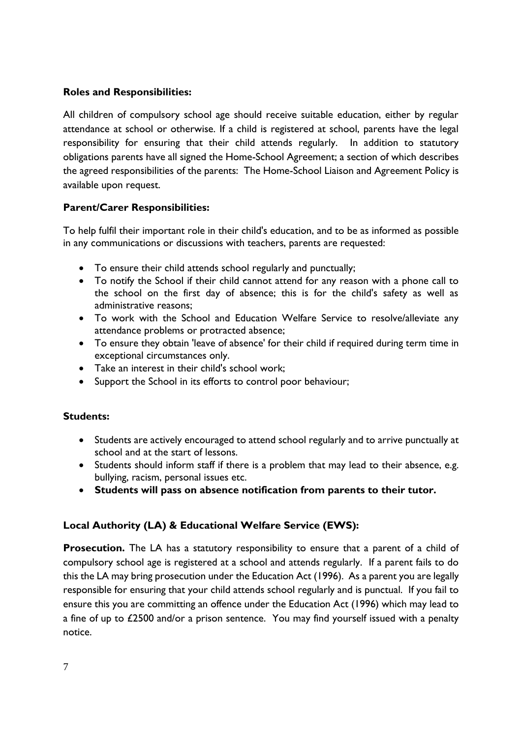# **Roles and Responsibilities:**

All children of compulsory school age should receive suitable education, either by regular attendance at school or otherwise. If a child is registered at school, parents have the legal responsibility for ensuring that their child attends regularly. In addition to statutory obligations parents have all signed the Home-School Agreement; a section of which describes the agreed responsibilities of the parents: The Home-School Liaison and Agreement Policy is available upon request.

# **Parent/Carer Responsibilities:**

To help fulfil their important role in their child's education, and to be as informed as possible in any communications or discussions with teachers, parents are requested:

- To ensure their child attends school regularly and punctually;
- To notify the School if their child cannot attend for any reason with a phone call to the school on the first day of absence; this is for the child's safety as well as administrative reasons;
- To work with the School and Education Welfare Service to resolve/alleviate any attendance problems or protracted absence;
- To ensure they obtain 'leave of absence' for their child if required during term time in exceptional circumstances only.
- Take an interest in their child's school work;
- Support the School in its efforts to control poor behaviour;

#### **Students:**

- Students are actively encouraged to attend school regularly and to arrive punctually at school and at the start of lessons.
- Students should inform staff if there is a problem that may lead to their absence, e.g. bullying, racism, personal issues etc.
- **Students will pass on absence notification from parents to their tutor.**

# **Local Authority (LA) & Educational Welfare Service (EWS):**

**Prosecution.** The LA has a statutory responsibility to ensure that a parent of a child of compulsory school age is registered at a school and attends regularly. If a parent fails to do this the LA may bring prosecution under the Education Act (1996). As a parent you are legally responsible for ensuring that your child attends school regularly and is punctual. If you fail to ensure this you are committing an offence under the Education Act (1996) which may lead to a fine of up to £2500 and/or a prison sentence. You may find yourself issued with a penalty notice.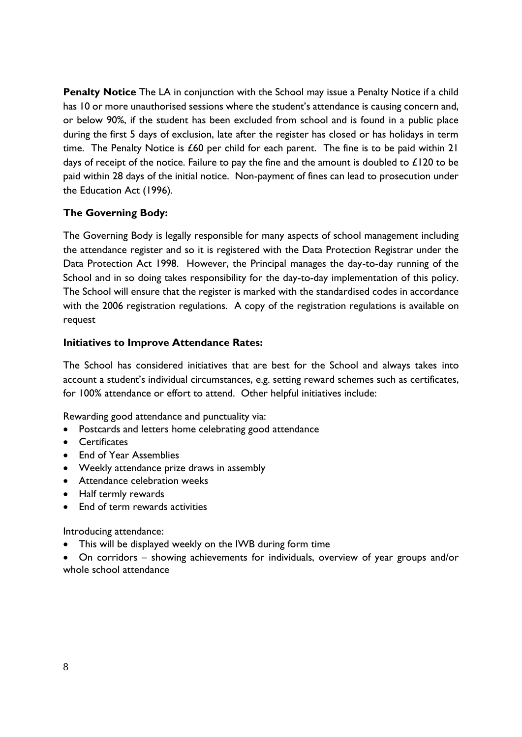**Penalty Notice** The LA in conjunction with the School may issue a Penalty Notice if a child has 10 or more unauthorised sessions where the student's attendance is causing concern and, or below 90%, if the student has been excluded from school and is found in a public place during the first 5 days of exclusion, late after the register has closed or has holidays in term time. The Penalty Notice is £60 per child for each parent. The fine is to be paid within 21 days of receipt of the notice. Failure to pay the fine and the amount is doubled to  $\pounds$ 120 to be paid within 28 days of the initial notice. Non-payment of fines can lead to prosecution under the Education Act (1996).

# **The Governing Body:**

The Governing Body is legally responsible for many aspects of school management including the attendance register and so it is registered with the Data Protection Registrar under the Data Protection Act 1998. However, the Principal manages the day-to-day running of the School and in so doing takes responsibility for the day-to-day implementation of this policy. The School will ensure that the register is marked with the standardised codes in accordance with the 2006 registration regulations. A copy of the registration regulations is available on request

#### **Initiatives to Improve Attendance Rates:**

The School has considered initiatives that are best for the School and always takes into account a student's individual circumstances, e.g. setting reward schemes such as certificates, for 100% attendance or effort to attend. Other helpful initiatives include:

Rewarding good attendance and punctuality via:

- Postcards and letters home celebrating good attendance
- Certificates
- End of Year Assemblies
- Weekly attendance prize draws in assembly
- Attendance celebration weeks
- Half termly rewards
- End of term rewards activities

Introducing attendance:

- This will be displayed weekly on the IWB during form time
- On corridors showing achievements for individuals, overview of year groups and/or whole school attendance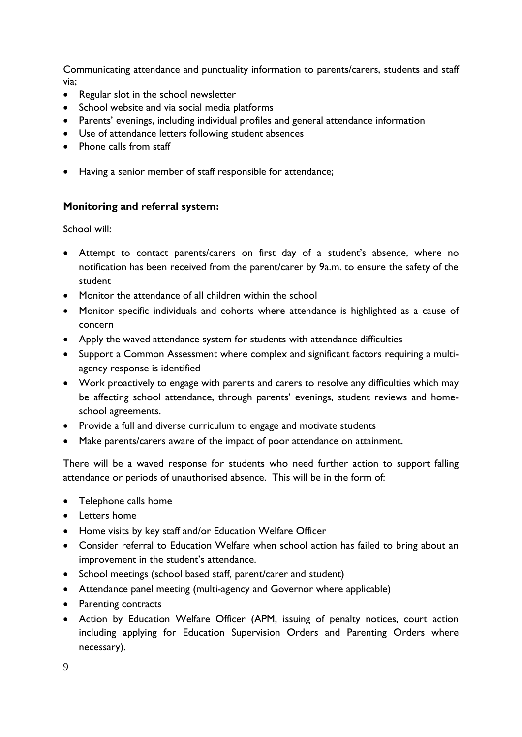Communicating attendance and punctuality information to parents/carers, students and staff via;

- Regular slot in the school newsletter
- School website and via social media platforms
- Parents' evenings, including individual profiles and general attendance information
- Use of attendance letters following student absences
- Phone calls from staff
- Having a senior member of staff responsible for attendance;

# **Monitoring and referral system:**

School will:

- Attempt to contact parents/carers on first day of a student's absence, where no notification has been received from the parent/carer by 9a.m. to ensure the safety of the student
- Monitor the attendance of all children within the school
- Monitor specific individuals and cohorts where attendance is highlighted as a cause of concern
- Apply the waved attendance system for students with attendance difficulties
- Support a Common Assessment where complex and significant factors requiring a multiagency response is identified
- Work proactively to engage with parents and carers to resolve any difficulties which may be affecting school attendance, through parents' evenings, student reviews and homeschool agreements.
- Provide a full and diverse curriculum to engage and motivate students
- Make parents/carers aware of the impact of poor attendance on attainment.

There will be a waved response for students who need further action to support falling attendance or periods of unauthorised absence. This will be in the form of:

- Telephone calls home
- Letters home
- Home visits by key staff and/or Education Welfare Officer
- Consider referral to Education Welfare when school action has failed to bring about an improvement in the student's attendance.
- School meetings (school based staff, parent/carer and student)
- Attendance panel meeting (multi-agency and Governor where applicable)
- Parenting contracts
- Action by Education Welfare Officer (APM, issuing of penalty notices, court action including applying for Education Supervision Orders and Parenting Orders where necessary).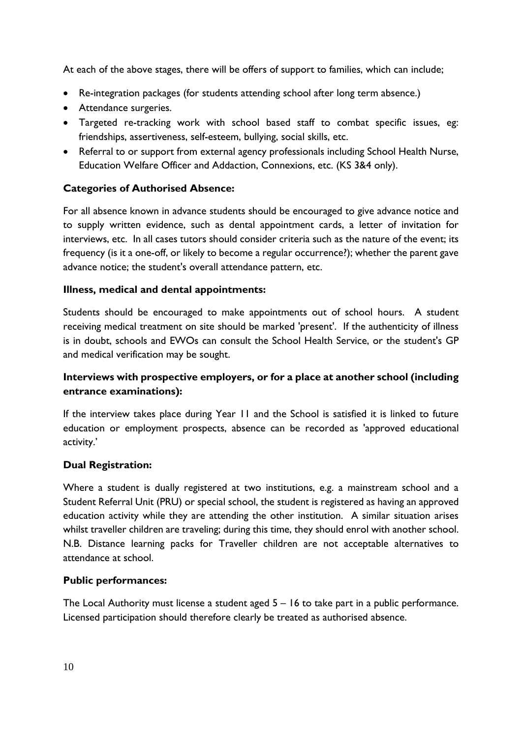At each of the above stages, there will be offers of support to families, which can include;

- Re-integration packages (for students attending school after long term absence.)
- Attendance surgeries.
- Targeted re-tracking work with school based staff to combat specific issues, eg: friendships, assertiveness, self-esteem, bullying, social skills, etc.
- Referral to or support from external agency professionals including School Health Nurse, Education Welfare Officer and Addaction, Connexions, etc. (KS 3&4 only).

# **Categories of Authorised Absence:**

For all absence known in advance students should be encouraged to give advance notice and to supply written evidence, such as dental appointment cards, a letter of invitation for interviews, etc. In all cases tutors should consider criteria such as the nature of the event; its frequency (is it a one-off, or likely to become a regular occurrence?); whether the parent gave advance notice; the student's overall attendance pattern, etc.

#### **Illness, medical and dental appointments:**

Students should be encouraged to make appointments out of school hours. A student receiving medical treatment on site should be marked 'present'. If the authenticity of illness is in doubt, schools and EWOs can consult the School Health Service, or the student's GP and medical verification may be sought.

# **Interviews with prospective employers, or for a place at another school (including entrance examinations):**

If the interview takes place during Year 11 and the School is satisfied it is linked to future education or employment prospects, absence can be recorded as 'approved educational activity.'

#### **Dual Registration:**

Where a student is dually registered at two institutions, e.g. a mainstream school and a Student Referral Unit (PRU) or special school, the student is registered as having an approved education activity while they are attending the other institution. A similar situation arises whilst traveller children are traveling; during this time, they should enrol with another school. N.B. Distance learning packs for Traveller children are not acceptable alternatives to attendance at school.

#### **Public performances:**

The Local Authority must license a student aged 5 – 16 to take part in a public performance. Licensed participation should therefore clearly be treated as authorised absence.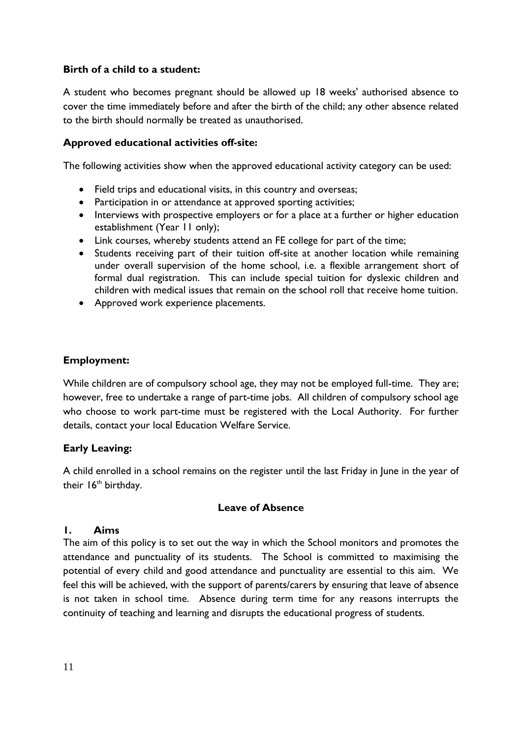# **Birth of a child to a student:**

A student who becomes pregnant should be allowed up 18 weeks' authorised absence to cover the time immediately before and after the birth of the child; any other absence related to the birth should normally be treated as unauthorised.

#### **Approved educational activities off-site:**

The following activities show when the approved educational activity category can be used:

- Field trips and educational visits, in this country and overseas;
- Participation in or attendance at approved sporting activities;
- Interviews with prospective employers or for a place at a further or higher education establishment (Year 11 only);
- Link courses, whereby students attend an FE college for part of the time;
- Students receiving part of their tuition off-site at another location while remaining under overall supervision of the home school, i.e. a flexible arrangement short of formal dual registration. This can include special tuition for dyslexic children and children with medical issues that remain on the school roll that receive home tuition.
- Approved work experience placements.

#### **Employment:**

While children are of compulsory school age, they may not be employed full-time. They are; however, free to undertake a range of part-time jobs. All children of compulsory school age who choose to work part-time must be registered with the Local Authority. For further details, contact your local Education Welfare Service.

#### **Early Leaving:**

A child enrolled in a school remains on the register until the last Friday in June in the year of their  $16<sup>th</sup>$  birthday.

#### **Leave of Absence**

#### **1. Aims**

The aim of this policy is to set out the way in which the School monitors and promotes the attendance and punctuality of its students. The School is committed to maximising the potential of every child and good attendance and punctuality are essential to this aim. We feel this will be achieved, with the support of parents/carers by ensuring that leave of absence is not taken in school time. Absence during term time for any reasons interrupts the continuity of teaching and learning and disrupts the educational progress of students.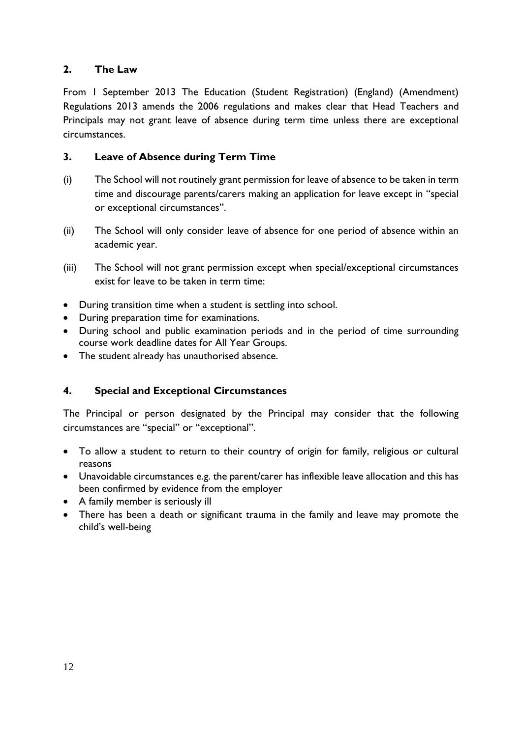# **2. The Law**

From 1 September 2013 The Education (Student Registration) (England) (Amendment) Regulations 2013 amends the 2006 regulations and makes clear that Head Teachers and Principals may not grant leave of absence during term time unless there are exceptional circumstances.

# **3. Leave of Absence during Term Time**

- (i) The School will not routinely grant permission for leave of absence to be taken in term time and discourage parents/carers making an application for leave except in "special or exceptional circumstances".
- (ii) The School will only consider leave of absence for one period of absence within an academic year.
- (iii) The School will not grant permission except when special/exceptional circumstances exist for leave to be taken in term time:
- During transition time when a student is settling into school.
- During preparation time for examinations.
- During school and public examination periods and in the period of time surrounding course work deadline dates for All Year Groups.
- The student already has unauthorised absence.

# **4. Special and Exceptional Circumstances**

The Principal or person designated by the Principal may consider that the following circumstances are "special" or "exceptional".

- To allow a student to return to their country of origin for family, religious or cultural reasons
- Unavoidable circumstances e.g. the parent/carer has inflexible leave allocation and this has been confirmed by evidence from the employer
- A family member is seriously ill
- There has been a death or significant trauma in the family and leave may promote the child's well-being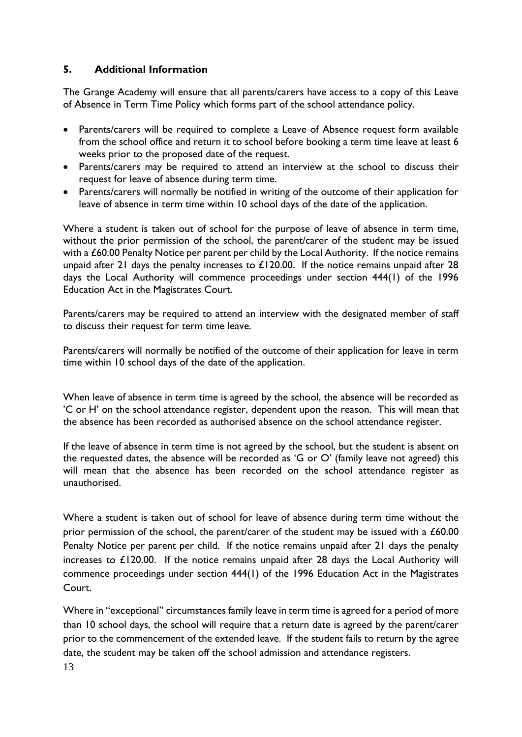# **5. Additional Information**

The Grange Academy will ensure that all parents/carers have access to a copy of this Leave of Absence in Term Time Policy which forms part of the school attendance policy.

- Parents/carers will be required to complete a Leave of Absence request form available from the school office and return it to school before booking a term time leave at least 6 weeks prior to the proposed date of the request.
- Parents/carers may be required to attend an interview at the school to discuss their request for leave of absence during term time.
- Parents/carers will normally be notified in writing of the outcome of their application for leave of absence in term time within 10 school days of the date of the application.

Where a student is taken out of school for the purpose of leave of absence in term time, without the prior permission of the school, the parent/carer of the student may be issued with a £60.00 Penalty Notice per parent per child by the Local Authority. If the notice remains unpaid after 21 days the penalty increases to  $£120.00$ . If the notice remains unpaid after 28 days the Local Authority will commence proceedings under section 444(1) of the 1996 Education Act in the Magistrates Court.

Parents/carers may be required to attend an interview with the designated member of staff to discuss their request for term time leave.

Parents/carers will normally be notified of the outcome of their application for leave in term time within 10 school days of the date of the application.

When leave of absence in term time is agreed by the school, the absence will be recorded as 'C or H' on the school attendance register, dependent upon the reason. This will mean that the absence has been recorded as authorised absence on the school attendance register.

If the leave of absence in term time is not agreed by the school, but the student is absent on the requested dates, the absence will be recorded as 'G or O' (family leave not agreed) this will mean that the absence has been recorded on the school attendance register as unauthorised.

Where a student is taken out of school for leave of absence during term time without the prior permission of the school, the parent/carer of the student may be issued with a £60.00 Penalty Notice per parent per child. If the notice remains unpaid after 21 days the penalty increases to £120.00. If the notice remains unpaid after 28 days the Local Authority will commence proceedings under section 444(1) of the 1996 Education Act in the Magistrates Court.

Where in "exceptional" circumstances family leave in term time is agreed for a period of more than 10 school days, the school will require that a return date is agreed by the parent/carer prior to the commencement of the extended leave. If the student fails to return by the agree date, the student may be taken off the school admission and attendance registers.